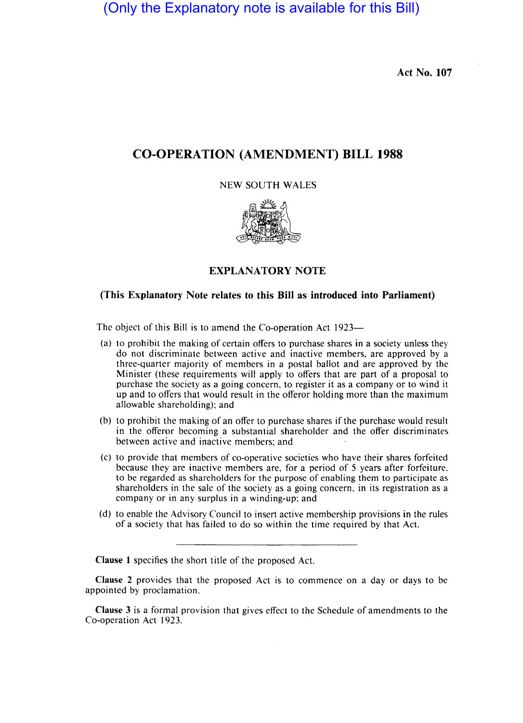(Only the Explanatory note is available for this Bill)

Act No. 107

# CO-OPERATION (AMENDMENT) BILL 1988

NEW SOUTH WALES



## EXPLANATORY NOTE

# (This Explanatory Note relates to this Bill as introduced into Parliament)

The object of this Bill is to amend the Co-operation Act 1923-

- (a) to prohibit the making of certain offers to purchase shares in a society unless they do not discriminate between active and inactive members, are approved by a three-quarter majority of members in a postal ballot and are approved by the Minister (these requirements will apply to offers that are part of a proposal to purchase the society as a going concern, to register it as a company or to wind it up and to offers that would result in the offeror holding more than the maximum alIowable shareholding); and
- (b) to prohibit the making of an offer to purchase shares if the purchase would result in the offeror becoming a substantial shareholder and the offer discriminates between active and inactive members; and
- (c) to provide that members of co-operative societies who have their shares forfeited because they are inactive members are, for a period of 5 years after forfeiture. to be regarded as shareholders for the purpose of enabling them to participate as shareholders in the sale of the society as a going concern, in its registration as a company or in any surplus in a winding-up; and
- (d) to enable the Advisory Council to insert active membership provisions in the rules of a society that has failed to do so within the time required by that Act.

Clause 1 specifies the short title of the proposed Act.

Clause 2 provides that the proposed Act is to commence on a day or days to be appointed by proclamation.

Clause 3 is a formal provision that gives effect to the Schedule of amendments to the Co-operation Act 1923.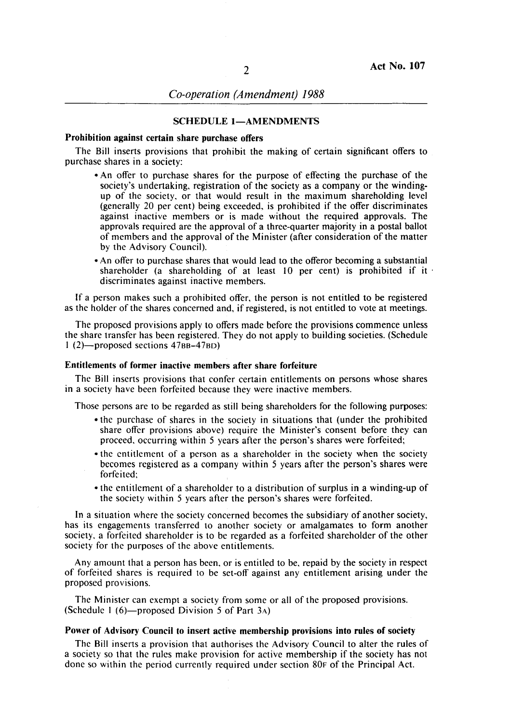### SCHEDULE 1-AMENDMENTS

#### Prohibition against certain share purchase offers

The Bill inserts provisions that prohibit the making of certain significant offers to purchase shares in a society:

- An offer to purchase shares for the purpose of effecting the purchase of the society's undertaking, registration of the society as a company or the windingup of the society, or that would result in the maximum shareholding level (generally 20 per cent) being xceeded, is prohibited if the offer discriminates against inactive members or is made without the required approvals. The approvals required are the approval of a three-quarter majority in a postal ballot of members and the approval of the Minister (after consideration of the matter by the Advisory Council).
- An offer to purchase shares that would lead to the offeror becoming a substantial shareholder (a shareholding of at least IQ per cent) is prohibited if it . discriminates against inactive members.

If a person makes such a prohibited offer, the person is not entitled to be registered as the holder of the shares concerned and, if registered, is not entitled to vote at meetings.

The proposed provisions apply to offers made before the provisions commence unless the share transfer has been registered. They do not apply to building societies. (Schedule I (2)-proposed sections 47BB-47BD)

### Entitlements of former inactive members after share forfeiture

The Bill inserts provisions that confer certain entitlements on persons whose shares in a society have been forfeited because they were inactive members.

Those persons are to be regarded as till being shareholders for the following purposes:

- the purchase of shares in the society in situations that (under the prohibited share offer provisions above) require the Minister's consent before they can proceed, occurring within 5 years after the person's shares were forfeited;
- the entitlement of a person as a shareholder in the society when the society becomes registered as a company within 5 years after the person's shares were forfeited;
- the entitlement of a shareholder to a distribution of surplus in a winding-up of the society within 5 years after the person's shares were forfeited.

In a situation where the society concerned becomes the subsidiary of another society, has its engagements transferred to another society or amalgamates to form another society, a forfeited shareholder is to be regarded as a forfeited shareholder of the other society for the purposes of the above entitlements.

Any amount that a person has been, or is entitled to be, repaid by the society in respect of forfeited shares is required to be set-off against any entitlement arising under the proposed provisions.

The Minister can exempt a society from some or all of the proposed provisions. (Schedule 1  $(6)$ —proposed Division 5 of Part 3A)

#### Power of Advisory Council to insert active membership provisions into rules of society

The Bill inserts a provision that authorises the Advisory Council to alter the rules of a society so that the rules make provision for active membership if the society has not done so within the period currently required under section 80F of the Principal Act.